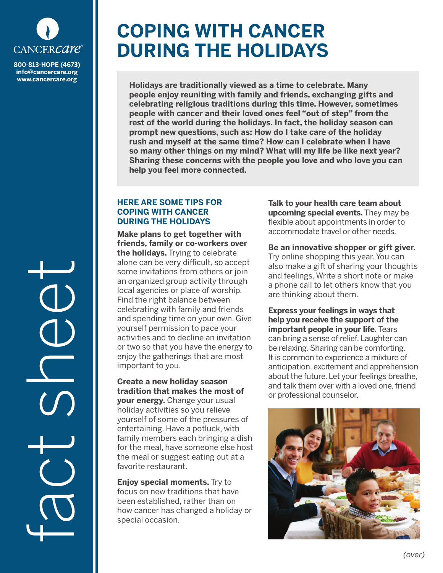

**info@cancercare.org www.cancercare.org**

fact sheet

## **COPING WITH CANCER DURING THE HOLIDAYS**

**Holidays are traditionally viewed as a time to celebrate. Many people enjoy reuniting with family and friends, exchanging gifts and celebrating religious traditions during this time. However, sometimes people with cancer and their loved ones feel "out of step" from the rest of the world during the holidays. In fact, the holiday season can prompt new questions, such as: How do I take care of the holiday rush and myself at the same time? How can I celebrate when I have so many other things on my mind? What will my life be like next year? Sharing these concerns with the people you love and who love you can help you feel more connected.**

## **HERE ARE SOME TIPS FOR COPING WITH CANCER DURING THE HOLIDAYS**

**Make plans to get together with friends, family or co-workers over the holidays.** Trying to celebrate alone can be very difficult, so accept some invitations from others or join an organized group activity through local agencies or place of worship. Find the right balance between celebrating with family and friends and spending time on your own. Give yourself permission to pace your activities and to decline an invitation or two so that you have the energy to enjoy the gatherings that are most important to you.

**Create a new holiday season tradition that makes the most of your energy.** Change your usual holiday activities so you relieve yourself of some of the pressures of entertaining. Have a potluck, with family members each bringing a dish for the meal, have someone else host the meal or suggest eating out at a favorite restaurant.

**Enjoy special moments.** Try to focus on new traditions that have been established, rather than on how cancer has changed a holiday or special occasion.

**Talk to your health care team about upcoming special events.** They may be flexible about appointments in order to accommodate travel or other needs.

**Be an innovative shopper or gift giver.** Try online shopping this year. You can also make a gift of sharing your thoughts and feelings. Write a short note or make a phone call to let others know that you are thinking about them.

**Express your feelings in ways that help you receive the support of the important people in your life.** Tears can bring a sense of relief. Laughter can be relaxing. Sharing can be comforting. It is common to experience a mixture of anticipation, excitement and apprehension about the future. Let your feelings breathe, and talk them over with a loved one, friend or professional counselor.